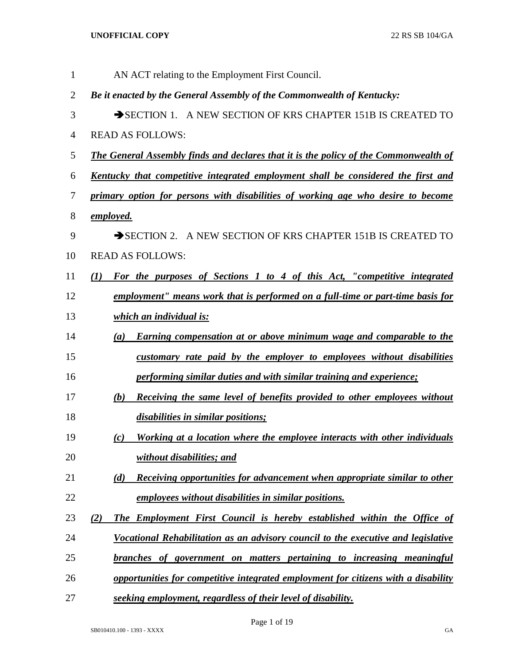| $\mathbf{1}$   | AN ACT relating to the Employment First Council.                                             |
|----------------|----------------------------------------------------------------------------------------------|
| $\overline{2}$ | Be it enacted by the General Assembly of the Commonwealth of Kentucky:                       |
| 3              | SECTION 1. A NEW SECTION OF KRS CHAPTER 151B IS CREATED TO                                   |
| $\overline{4}$ | <b>READ AS FOLLOWS:</b>                                                                      |
| 5              | <b>The General Assembly finds and declares that it is the policy of the Commonwealth of</b>  |
| 6              | <u>Kentucky</u> that competitive integrated employment shall be considered the first and     |
| 7              | primary option for persons with disabilities of working age who desire to become             |
| 8              | <u>employed.</u>                                                                             |
| 9              | SECTION 2. A NEW SECTION OF KRS CHAPTER 151B IS CREATED TO                                   |
| 10             | <b>READ AS FOLLOWS:</b>                                                                      |
| 11             | For the purposes of Sections 1 to 4 of this Act, "competitive integrated<br>$\mathcal{L}(I)$ |
| 12             | employment" means work that is performed on a full-time or part-time basis for               |
| 13             | <u>which an individual is:</u>                                                               |
| 14             | Earning compensation at or above minimum wage and comparable to the<br>(a)                   |
| 15             | customary rate paid by the employer to employees without disabilities                        |
| 16             | performing similar duties and with similar training and experience;                          |
| 17             | Receiving the same level of benefits provided to other employees without<br>(b)              |
| 18             | disabilities in similar positions;                                                           |
| 19             | Working at a location where the employee interacts with other individuals<br>(c)             |
| 20             | without disabilities; and                                                                    |
| 21             | <b>Receiving opportunities for advancement when appropriate similar to other</b><br>(d)      |
| 22             | employees without disabilities in similar positions.                                         |
| 23             | The Employment First Council is hereby established within the Office of<br>(2)               |
| 24             | Vocational Rehabilitation as an advisory council to the executive and legislative            |
| 25             | branches of government on matters pertaining to increasing meaningful                        |
| 26             | opportunities for competitive integrated employment for citizens with a disability           |
| 27             | seeking employment, regardless of their level of disability.                                 |

Page 1 of 19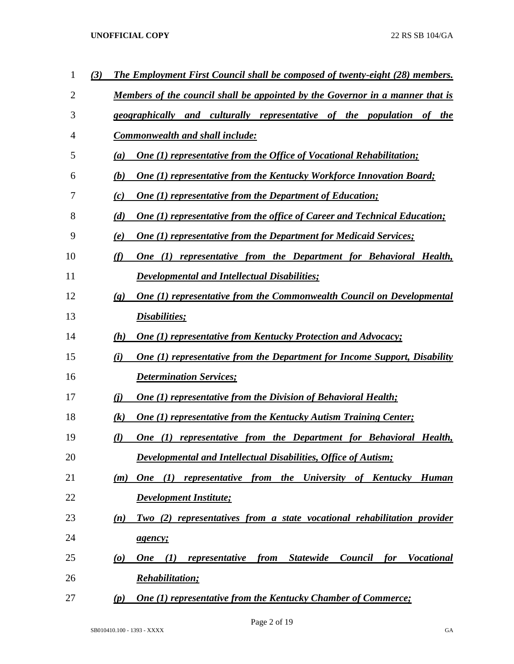| 1  | (3) | <b>The Employment First Council shall be composed of twenty-eight (28) members.</b>                                             |
|----|-----|---------------------------------------------------------------------------------------------------------------------------------|
| 2  |     | Members of the council shall be appointed by the Governor in a manner that is                                                   |
| 3  |     | geographically and culturally representative of the population<br><i>the</i><br>of                                              |
| 4  |     | <b>Commonwealth and shall include:</b>                                                                                          |
| 5  |     | <b>One (1) representative from the Office of Vocational Rehabilitation;</b><br>(a)                                              |
| 6  |     | <b>One (1) representative from the Kentucky Workforce Innovation Board;</b><br>(b)                                              |
| 7  |     | <b>One (1) representative from the Department of Education;</b><br>(c)                                                          |
| 8  |     | <b>One (1) representative from the office of Career and Technical Education;</b><br>(d)                                         |
| 9  |     | <b>One (1) representative from the Department for Medicaid Services;</b><br>(e)                                                 |
| 10 |     | One (1) representative from the Department for Behavioral Health,<br>(f)                                                        |
| 11 |     | <b>Developmental and Intellectual Disabilities;</b>                                                                             |
| 12 |     | <b>One (1) representative from the Commonwealth Council on Developmental</b><br>$\left( \mathbf{g} \right)$                     |
| 13 |     | <i><b>Disabilities</b></i> ;                                                                                                    |
| 14 |     | <b>One (1) representative from Kentucky Protection and Advocacy;</b><br>(h)                                                     |
| 15 |     | <b>One (1) representative from the Department for Income Support, Disability</b><br>(i)                                         |
| 16 |     | <b>Determination Services;</b>                                                                                                  |
| 17 |     | One (1) representative from the Division of Behavioral Health;<br>(i)                                                           |
| 18 |     | <b>One (1) representative from the Kentucky Autism Training Center;</b><br>$\left( k\right)$                                    |
| 19 |     | <b>One (1) representative from the Department for Behavioral Health,</b><br>(l)                                                 |
| 20 |     | <b>Developmental and Intellectual Disabilities, Office of Autism;</b>                                                           |
| 21 |     | One $(1)$<br>representative from the<br>University of Kentucky<br><b>Human</b><br>(m)                                           |
| 22 |     | <b>Development Institute;</b>                                                                                                   |
| 23 |     | Two (2) representatives from a state vocational rehabilitation provider<br>(n)                                                  |
| 24 |     | agency;                                                                                                                         |
| 25 |     | <b>Statewide</b><br><b>Vocational</b><br><b>One</b><br>representative<br>from<br>Council<br>for<br>$\boldsymbol{\omega}$<br>(1) |
| 26 |     | <u><b>Rehabilitation;</b></u>                                                                                                   |
| 27 |     | <b>One (1) representative from the Kentucky Chamber of Commerce;</b><br>(p)                                                     |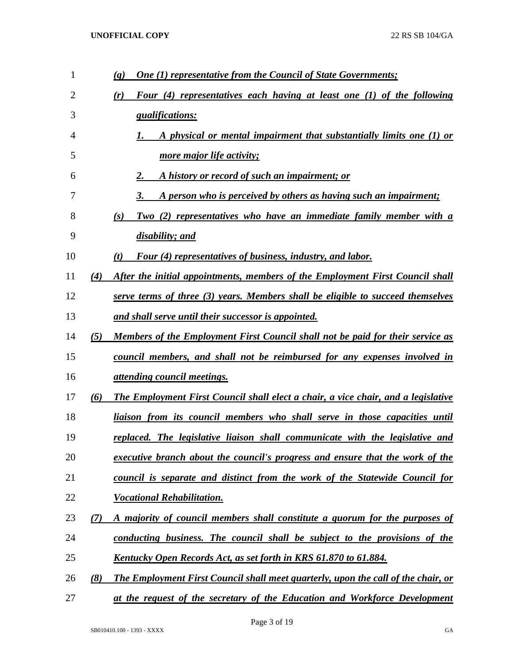| 1  |     | <b>One (1) representative from the Council of State Governments;</b><br>(q)              |
|----|-----|------------------------------------------------------------------------------------------|
| 2  |     | Four (4) representatives each having at least one (1) of the following<br>(r)            |
| 3  |     | <i><u><b>qualifications:</b></u></i>                                                     |
| 4  |     | A physical or mental impairment that substantially limits one (1) or                     |
| 5  |     | more major life activity;                                                                |
| 6  |     | A history or record of such an impairment; or<br>2.                                      |
| 7  |     | A person who is perceived by others as having such an impairment;<br>3.                  |
| 8  |     | Two (2) representatives who have an immediate family member with a<br>(s)                |
| 9  |     | disability; and                                                                          |
| 10 |     | <b>Four (4) representatives of business, industry, and labor.</b><br>(t)                 |
| 11 | (4) | After the initial appointments, members of the Employment First Council shall            |
| 12 |     | serve terms of three (3) years. Members shall be eligible to succeed themselves          |
| 13 |     | and shall serve until their successor is appointed.                                      |
| 14 | (5) | <u>Members of the Employment First Council shall not be paid for their service as</u>    |
| 15 |     | council members, and shall not be reimbursed for any expenses involved in                |
| 16 |     | <i><u>attending council meetings.</u></i>                                                |
| 17 | (6) | <b>The Employment First Council shall elect a chair, a vice chair, and a legislative</b> |
| 18 |     | liaison from its council members who shall serve in those capacities until               |
| 19 |     | replaced. The legislative liaison shall communicate with the legislative and             |
| 20 |     | executive branch about the council's progress and ensure that the work of the            |
| 21 |     | council is separate and distinct from the work of the Statewide Council for              |
| 22 |     | <b>Vocational Rehabilitation.</b>                                                        |
| 23 | (7) | A majority of council members shall constitute a quorum for the purposes of              |
| 24 |     | conducting business. The council shall be subject to the provisions of the               |
| 25 |     | <u>Kentucky Open Records Act, as set forth in KRS 61.870 to 61.884.</u>                  |
| 26 | (8) | <b>The Employment First Council shall meet quarterly, upon the call of the chair, or</b> |
| 27 |     | at the request of the secretary of the Education and Workforce Development               |

Page 3 of 19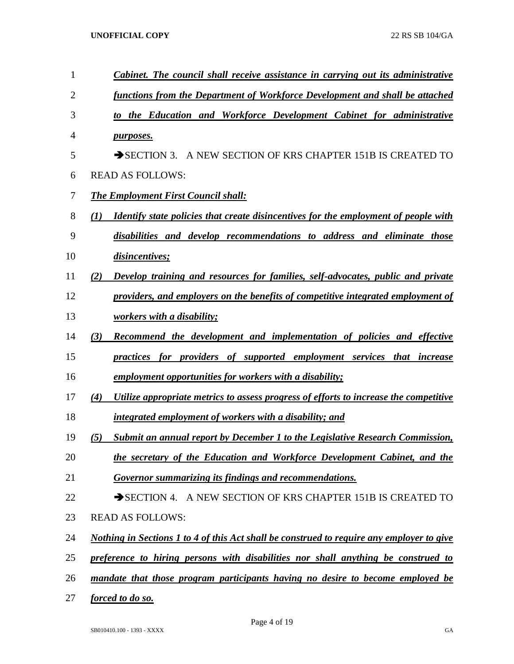| $\mathbf{1}$   | Cabinet. The council shall receive assistance in carrying out its administrative                        |
|----------------|---------------------------------------------------------------------------------------------------------|
| $\overline{2}$ | functions from the Department of Workforce Development and shall be attached                            |
| 3              | to the Education and Workforce Development Cabinet for administrative                                   |
| $\overline{4}$ | <i>purposes.</i>                                                                                        |
| 5              | SECTION 3. A NEW SECTION OF KRS CHAPTER 151B IS CREATED TO                                              |
| 6              | <b>READ AS FOLLOWS:</b>                                                                                 |
| 7              | <b>The Employment First Council shall:</b>                                                              |
| 8              | Identify state policies that create disincentives for the employment of people with<br>$\mathcal{L}(I)$ |
| 9              | disabilities and develop recommendations to address and eliminate those                                 |
| 10             | disincentives;                                                                                          |
| 11             | Develop training and resources for families, self-advocates, public and private<br>(2)                  |
| 12             | providers, and employers on the benefits of competitive integrated employment of                        |
| 13             | workers with a disability;                                                                              |
| 14             | (3)<br>Recommend the development and implementation of policies and effective                           |
| 15             | practices for providers of supported employment services that increase                                  |
| 16             | employment opportunities for workers with a disability;                                                 |
| 17             | Utilize appropriate metrics to assess progress of efforts to increase the competitive<br>(4)            |
| 18             | integrated employment of workers with a disability; and                                                 |
| 19             | <b>Submit an annual report by December 1 to the Legislative Research Commission,</b><br>(5)             |
| 20             | the secretary of the Education and Workforce Development Cabinet, and the                               |
| 21             | Governor summarizing its findings and recommendations.                                                  |
| 22             | SECTION 4. A NEW SECTION OF KRS CHAPTER 151B IS CREATED TO                                              |
| 23             | <b>READ AS FOLLOWS:</b>                                                                                 |
| 24             | <u>Nothing in Sections 1 to 4 of this Act shall be construed to require any employer to give</u>        |
| 25             | preference to hiring persons with disabilities nor shall anything be construed to                       |
| 26             | mandate that those program participants having no desire to become employed be                          |
| 27             | <i>forced to do so.</i>                                                                                 |

Page 4 of 19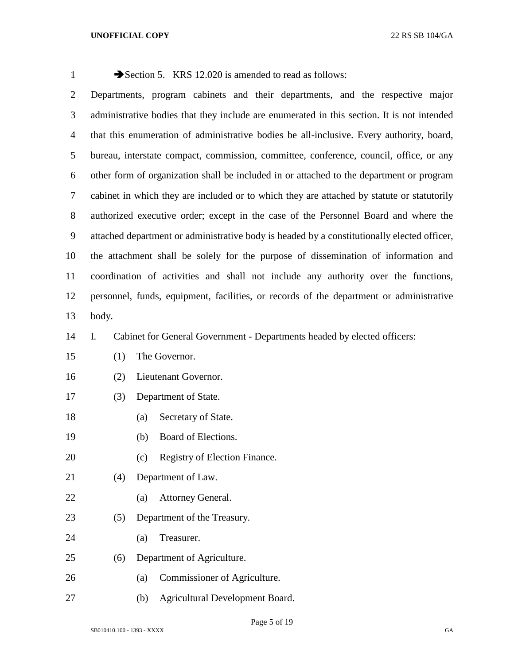| $\mathbf{1}$   |                                                                                             | Section 5. KRS 12.020 is amended to read as follows:                                    |  |  |  |  |  |  |  |  |  |  |  |
|----------------|---------------------------------------------------------------------------------------------|-----------------------------------------------------------------------------------------|--|--|--|--|--|--|--|--|--|--|--|
| $\overline{2}$ |                                                                                             | Departments, program cabinets and their departments, and the respective major           |  |  |  |  |  |  |  |  |  |  |  |
| 3              | administrative bodies that they include are enumerated in this section. It is not intended  |                                                                                         |  |  |  |  |  |  |  |  |  |  |  |
| $\overline{4}$ | that this enumeration of administrative bodies be all-inclusive. Every authority, board,    |                                                                                         |  |  |  |  |  |  |  |  |  |  |  |
| 5              | bureau, interstate compact, commission, committee, conference, council, office, or any      |                                                                                         |  |  |  |  |  |  |  |  |  |  |  |
| 6              | other form of organization shall be included in or attached to the department or program    |                                                                                         |  |  |  |  |  |  |  |  |  |  |  |
| $\tau$         | cabinet in which they are included or to which they are attached by statute or statutorily  |                                                                                         |  |  |  |  |  |  |  |  |  |  |  |
| $8\,$          |                                                                                             | authorized executive order; except in the case of the Personnel Board and where the     |  |  |  |  |  |  |  |  |  |  |  |
| 9              | attached department or administrative body is headed by a constitutionally elected officer, |                                                                                         |  |  |  |  |  |  |  |  |  |  |  |
| 10             | the attachment shall be solely for the purpose of dissemination of information and          |                                                                                         |  |  |  |  |  |  |  |  |  |  |  |
| 11             | coordination of activities and shall not include any authority over the functions,          |                                                                                         |  |  |  |  |  |  |  |  |  |  |  |
| 12             |                                                                                             | personnel, funds, equipment, facilities, or records of the department or administrative |  |  |  |  |  |  |  |  |  |  |  |
| 13             | body.                                                                                       |                                                                                         |  |  |  |  |  |  |  |  |  |  |  |
| 14             | I.                                                                                          | Cabinet for General Government - Departments headed by elected officers:                |  |  |  |  |  |  |  |  |  |  |  |
| 15             | (1)                                                                                         | The Governor.                                                                           |  |  |  |  |  |  |  |  |  |  |  |
| 16             | (2)                                                                                         | Lieutenant Governor.                                                                    |  |  |  |  |  |  |  |  |  |  |  |
| 17             | (3)                                                                                         | Department of State.                                                                    |  |  |  |  |  |  |  |  |  |  |  |
| 18             |                                                                                             | Secretary of State.<br>(a)                                                              |  |  |  |  |  |  |  |  |  |  |  |
| 19             |                                                                                             | Board of Elections.<br>(b)                                                              |  |  |  |  |  |  |  |  |  |  |  |
| 20             |                                                                                             | Registry of Election Finance.<br>(c)                                                    |  |  |  |  |  |  |  |  |  |  |  |
| 21             | (4)                                                                                         | Department of Law.                                                                      |  |  |  |  |  |  |  |  |  |  |  |
| 22             |                                                                                             | Attorney General.<br>(a)                                                                |  |  |  |  |  |  |  |  |  |  |  |
| 23             | (5)                                                                                         | Department of the Treasury.                                                             |  |  |  |  |  |  |  |  |  |  |  |
| 24             |                                                                                             | Treasurer.<br>(a)                                                                       |  |  |  |  |  |  |  |  |  |  |  |
| 25             | (6)                                                                                         | Department of Agriculture.                                                              |  |  |  |  |  |  |  |  |  |  |  |
| 26             |                                                                                             | Commissioner of Agriculture.<br>(a)                                                     |  |  |  |  |  |  |  |  |  |  |  |

(b) Agricultural Development Board.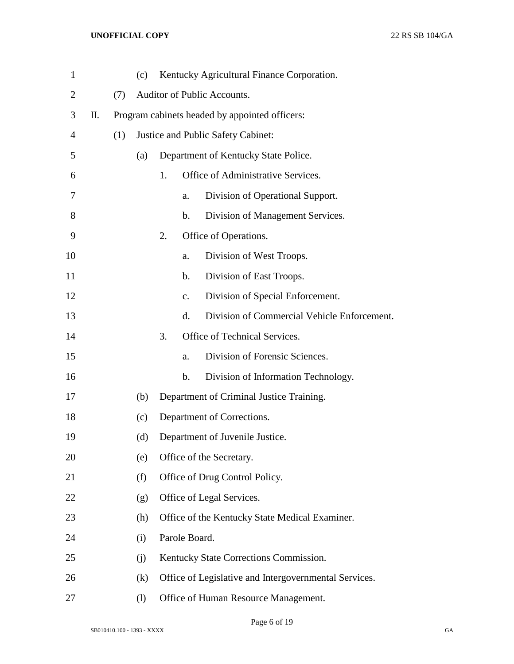| $\mathbf{1}$   |    |     | (c)                                            |    |                | Kentucky Agricultural Finance Corporation.            |  |  |  |  |  |
|----------------|----|-----|------------------------------------------------|----|----------------|-------------------------------------------------------|--|--|--|--|--|
| $\overline{2}$ |    | (7) |                                                |    |                | Auditor of Public Accounts.                           |  |  |  |  |  |
| 3              | П. |     | Program cabinets headed by appointed officers: |    |                |                                                       |  |  |  |  |  |
| 4              |    | (1) |                                                |    |                | Justice and Public Safety Cabinet:                    |  |  |  |  |  |
| 5              |    |     | (a)                                            |    |                | Department of Kentucky State Police.                  |  |  |  |  |  |
| 6              |    |     |                                                | 1. |                | Office of Administrative Services.                    |  |  |  |  |  |
| 7              |    |     |                                                |    | a.             | Division of Operational Support.                      |  |  |  |  |  |
| 8              |    |     |                                                |    | b.             | Division of Management Services.                      |  |  |  |  |  |
| 9              |    |     |                                                | 2. |                | Office of Operations.                                 |  |  |  |  |  |
| 10             |    |     |                                                |    | a.             | Division of West Troops.                              |  |  |  |  |  |
| 11             |    |     |                                                |    | b.             | Division of East Troops.                              |  |  |  |  |  |
| 12             |    |     |                                                |    | $\mathbf{c}$ . | Division of Special Enforcement.                      |  |  |  |  |  |
| 13             |    |     |                                                |    | d.             | Division of Commercial Vehicle Enforcement.           |  |  |  |  |  |
| 14             |    |     |                                                | 3. |                | Office of Technical Services.                         |  |  |  |  |  |
| 15             |    |     |                                                |    | a.             | Division of Forensic Sciences.                        |  |  |  |  |  |
| 16             |    |     |                                                |    | b.             | Division of Information Technology.                   |  |  |  |  |  |
| 17             |    |     | (b)                                            |    |                | Department of Criminal Justice Training.              |  |  |  |  |  |
| 18             |    |     | (c)                                            |    |                | Department of Corrections.                            |  |  |  |  |  |
| 19             |    |     | (d)                                            |    |                | Department of Juvenile Justice.                       |  |  |  |  |  |
| 20             |    |     | (e)                                            |    |                | Office of the Secretary.                              |  |  |  |  |  |
| 21             |    |     | (f)                                            |    |                | Office of Drug Control Policy.                        |  |  |  |  |  |
| 22             |    |     | (g)                                            |    |                | Office of Legal Services.                             |  |  |  |  |  |
| 23             |    |     | (h)                                            |    |                | Office of the Kentucky State Medical Examiner.        |  |  |  |  |  |
| 24             |    |     | (i)                                            |    | Parole Board.  |                                                       |  |  |  |  |  |
| 25             |    |     | (j)                                            |    |                | Kentucky State Corrections Commission.                |  |  |  |  |  |
| 26             |    |     | (k)                                            |    |                | Office of Legislative and Intergovernmental Services. |  |  |  |  |  |
| 27             |    |     | $\left( \mathrm{l}\right)$                     |    |                | Office of Human Resource Management.                  |  |  |  |  |  |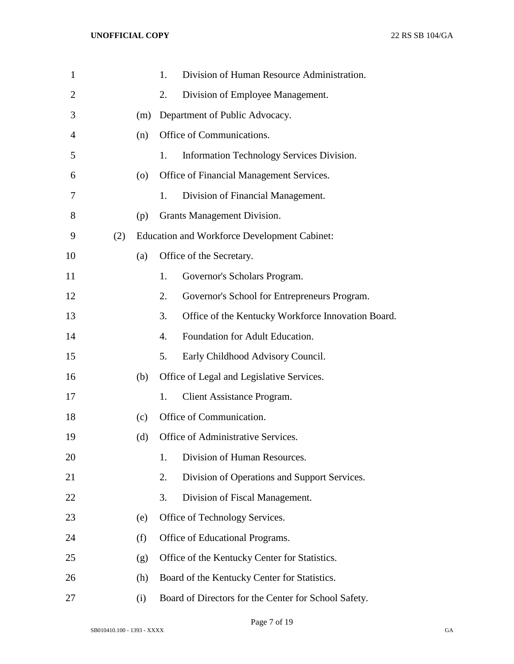| $\mathbf{1}$   |     |     | 1. | Division of Human Resource Administration.           |
|----------------|-----|-----|----|------------------------------------------------------|
| 2              |     |     | 2. | Division of Employee Management.                     |
| 3              |     | (m) |    | Department of Public Advocacy.                       |
| $\overline{4}$ |     | (n) |    | Office of Communications.                            |
| 5              |     |     | 1. | Information Technology Services Division.            |
| 6              |     | (0) |    | Office of Financial Management Services.             |
| 7              |     |     | 1. | Division of Financial Management.                    |
| 8              |     | (p) |    | Grants Management Division.                          |
| 9              | (2) |     |    | <b>Education and Workforce Development Cabinet:</b>  |
| 10             |     | (a) |    | Office of the Secretary.                             |
| 11             |     |     | 1. | Governor's Scholars Program.                         |
| 12             |     |     | 2. | Governor's School for Entrepreneurs Program.         |
| 13             |     |     | 3. | Office of the Kentucky Workforce Innovation Board.   |
| 14             |     |     | 4. | Foundation for Adult Education.                      |
| 15             |     |     | 5. | Early Childhood Advisory Council.                    |
| 16             |     | (b) |    | Office of Legal and Legislative Services.            |
| 17             |     |     | 1. | Client Assistance Program.                           |
| 18             |     | (c) |    | Office of Communication.                             |
| 19             |     | (d) |    | Office of Administrative Services.                   |
| 20             |     |     | 1. | Division of Human Resources.                         |
| 21             |     |     | 2. | Division of Operations and Support Services.         |
| 22             |     |     | 3. | Division of Fiscal Management.                       |
| 23             |     | (e) |    | Office of Technology Services.                       |
| 24             |     | (f) |    | Office of Educational Programs.                      |
| 25             |     | (g) |    | Office of the Kentucky Center for Statistics.        |
| 26             |     | (h) |    | Board of the Kentucky Center for Statistics.         |
| 27             |     | (i) |    | Board of Directors for the Center for School Safety. |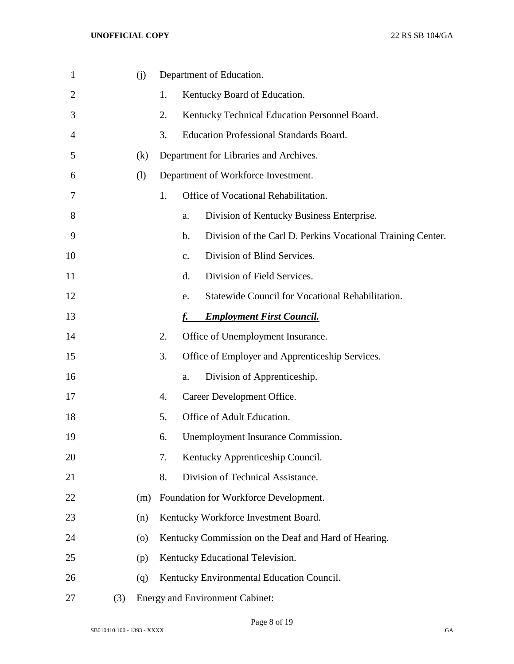| $\mathbf{1}$ |     | (i)     |                  | Department of Education.                                             |
|--------------|-----|---------|------------------|----------------------------------------------------------------------|
| 2            |     |         | 1.               | Kentucky Board of Education.                                         |
| 3            |     |         | 2.               | Kentucky Technical Education Personnel Board.                        |
| 4            |     |         | 3.               | <b>Education Professional Standards Board.</b>                       |
| 5            |     | (k)     |                  | Department for Libraries and Archives.                               |
| 6            |     | (1)     |                  | Department of Workforce Investment.                                  |
| 7            |     |         | 1.               | Office of Vocational Rehabilitation.                                 |
| 8            |     |         |                  | Division of Kentucky Business Enterprise.<br>a.                      |
| 9            |     |         |                  | Division of the Carl D. Perkins Vocational Training Center.<br>$b$ . |
| 10           |     |         |                  | Division of Blind Services.<br>$\mathbf{c}$ .                        |
| 11           |     |         |                  | d.<br>Division of Field Services.                                    |
| 12           |     |         |                  | Statewide Council for Vocational Rehabilitation.<br>e.               |
| 13           |     |         |                  | <b>Employment First Council.</b><br>f.                               |
| 14           |     |         | 2.               | Office of Unemployment Insurance.                                    |
| 15           |     |         | 3.               | Office of Employer and Apprenticeship Services.                      |
| 16           |     |         |                  | Division of Apprenticeship.<br>a.                                    |
| 17           |     |         | $\overline{4}$ . | Career Development Office.                                           |
| 18           |     |         | 5.               | Office of Adult Education.                                           |
| 19           |     |         | 6.               | Unemployment Insurance Commission.                                   |
| 20           |     |         | 7.               | Kentucky Apprenticeship Council.                                     |
| 21           |     |         | 8.               | Division of Technical Assistance.                                    |
| 22           |     | (m)     |                  | Foundation for Workforce Development.                                |
| 23           |     | (n)     |                  | Kentucky Workforce Investment Board.                                 |
| 24           |     | $\circ$ |                  | Kentucky Commission on the Deaf and Hard of Hearing.                 |
| 25           |     | (p)     |                  | Kentucky Educational Television.                                     |
| 26           |     | (q)     |                  | Kentucky Environmental Education Council.                            |
| 27           | (3) |         |                  | <b>Energy and Environment Cabinet:</b>                               |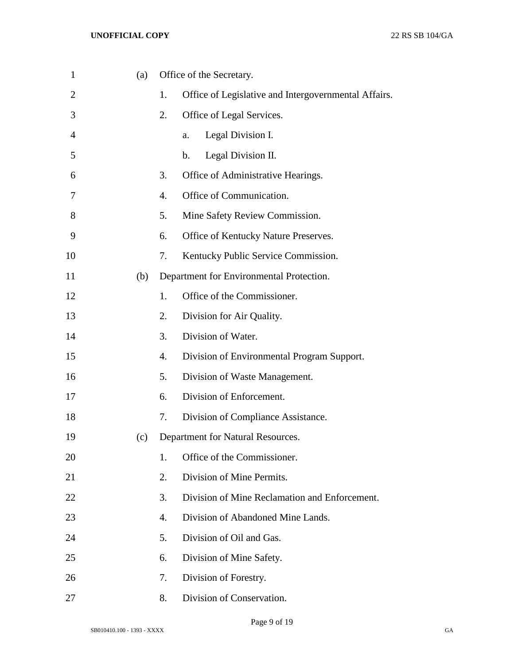| $\mathbf{1}$   | (a) |    | Office of the Secretary.                             |
|----------------|-----|----|------------------------------------------------------|
| $\overline{2}$ |     | 1. | Office of Legislative and Intergovernmental Affairs. |
| 3              |     | 2. | Office of Legal Services.                            |
| $\overline{4}$ |     |    | Legal Division I.<br>a.                              |
| 5              |     |    | Legal Division II.<br>b.                             |
| 6              |     | 3. | Office of Administrative Hearings.                   |
| 7              |     | 4. | Office of Communication.                             |
| 8              |     | 5. | Mine Safety Review Commission.                       |
| 9              |     | 6. | Office of Kentucky Nature Preserves.                 |
| 10             |     | 7. | Kentucky Public Service Commission.                  |
| 11             | (b) |    | Department for Environmental Protection.             |
| 12             |     | 1. | Office of the Commissioner.                          |
| 13             |     | 2. | Division for Air Quality.                            |
| 14             |     | 3. | Division of Water.                                   |
| 15             |     | 4. | Division of Environmental Program Support.           |
| 16             |     | 5. | Division of Waste Management.                        |
| 17             |     | 6. | Division of Enforcement.                             |
| 18             |     | 7. | Division of Compliance Assistance.                   |
| 19             | (c) |    | Department for Natural Resources.                    |
| 20             |     | 1. | Office of the Commissioner.                          |
| 21             |     | 2. | Division of Mine Permits.                            |
| 22             |     | 3. | Division of Mine Reclamation and Enforcement.        |
| 23             |     | 4. | Division of Abandoned Mine Lands.                    |
| 24             |     | 5. | Division of Oil and Gas.                             |
| 25             |     | 6. | Division of Mine Safety.                             |
| 26             |     | 7. | Division of Forestry.                                |
| 27             |     | 8. | Division of Conservation.                            |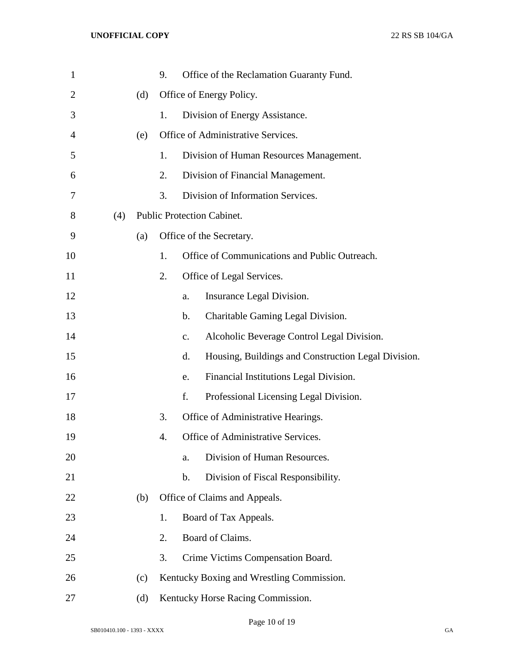| $\mathbf{1}$   |     |     | 9. |                | Office of the Reclamation Guaranty Fund.            |
|----------------|-----|-----|----|----------------|-----------------------------------------------------|
| $\overline{2}$ |     | (d) |    |                | Office of Energy Policy.                            |
| 3              |     |     | 1. |                | Division of Energy Assistance.                      |
| 4              |     | (e) |    |                | Office of Administrative Services.                  |
| 5              |     |     | 1. |                | Division of Human Resources Management.             |
| 6              |     |     | 2. |                | Division of Financial Management.                   |
| 7              |     |     | 3. |                | Division of Information Services.                   |
| 8              | (4) |     |    |                | Public Protection Cabinet.                          |
| 9              |     | (a) |    |                | Office of the Secretary.                            |
| 10             |     |     | 1. |                | Office of Communications and Public Outreach.       |
| 11             |     |     | 2. |                | Office of Legal Services.                           |
| 12             |     |     |    | a.             | Insurance Legal Division.                           |
| 13             |     |     |    | b.             | Charitable Gaming Legal Division.                   |
| 14             |     |     |    | $\mathbf{c}$ . | Alcoholic Beverage Control Legal Division.          |
| 15             |     |     |    | d.             | Housing, Buildings and Construction Legal Division. |
| 16             |     |     |    | e.             | Financial Institutions Legal Division.              |
| 17             |     |     |    | f.             | Professional Licensing Legal Division.              |
| 18             |     |     | 3. |                | Office of Administrative Hearings.                  |
| 19             |     |     | 4. |                | Office of Administrative Services.                  |
| 20             |     |     |    | a.             | Division of Human Resources.                        |
| 21             |     |     |    | b.             | Division of Fiscal Responsibility.                  |
| 22             |     | (b) |    |                | Office of Claims and Appeals.                       |
| 23             |     |     | 1. |                | Board of Tax Appeals.                               |
| 24             |     |     | 2. |                | Board of Claims.                                    |
| 25             |     |     | 3. |                | Crime Victims Compensation Board.                   |
| 26             |     | (c) |    |                | Kentucky Boxing and Wrestling Commission.           |
| 27             |     | (d) |    |                | Kentucky Horse Racing Commission.                   |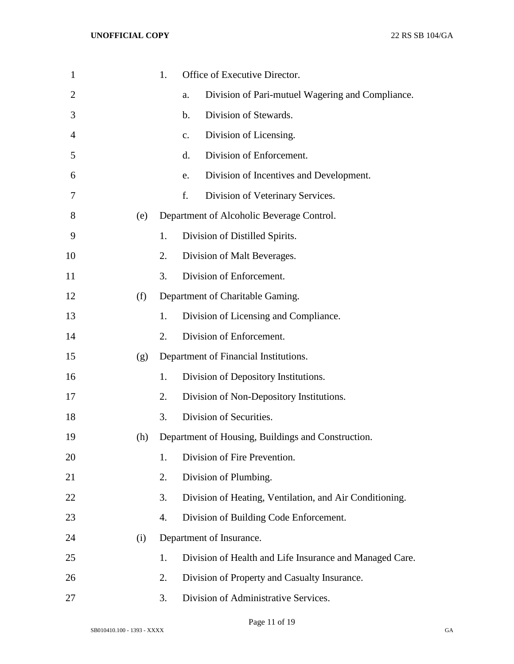| $\mathbf{1}$ |     | 1. | Office of Executive Director.                           |
|--------------|-----|----|---------------------------------------------------------|
| 2            |     |    | Division of Pari-mutuel Wagering and Compliance.<br>a.  |
| 3            |     |    | Division of Stewards.<br>$\mathbf b$ .                  |
| 4            |     |    | Division of Licensing.<br>c.                            |
| 5            |     |    | Division of Enforcement.<br>d.                          |
| 6            |     |    | Division of Incentives and Development.<br>e.           |
| 7            |     |    | f.<br>Division of Veterinary Services.                  |
| 8            | (e) |    | Department of Alcoholic Beverage Control.               |
| 9            |     | 1. | Division of Distilled Spirits.                          |
| 10           |     | 2. | Division of Malt Beverages.                             |
| 11           |     | 3. | Division of Enforcement.                                |
| 12           | (f) |    | Department of Charitable Gaming.                        |
| 13           |     | 1. | Division of Licensing and Compliance.                   |
| 14           |     | 2. | Division of Enforcement.                                |
| 15           | (g) |    | Department of Financial Institutions.                   |
| 16           |     | 1. | Division of Depository Institutions.                    |
| 17           |     | 2. | Division of Non-Depository Institutions.                |
| 18           |     | 3. | Division of Securities.                                 |
| 19           | (h) |    | Department of Housing, Buildings and Construction.      |
| 20           |     | 1. | Division of Fire Prevention.                            |
| 21           |     | 2. | Division of Plumbing.                                   |
| 22           |     | 3. | Division of Heating, Ventilation, and Air Conditioning. |
| 23           |     | 4. | Division of Building Code Enforcement.                  |
| 24           | (i) |    | Department of Insurance.                                |
| 25           |     | 1. | Division of Health and Life Insurance and Managed Care. |
| 26           |     | 2. | Division of Property and Casualty Insurance.            |
| 27           |     | 3. | Division of Administrative Services.                    |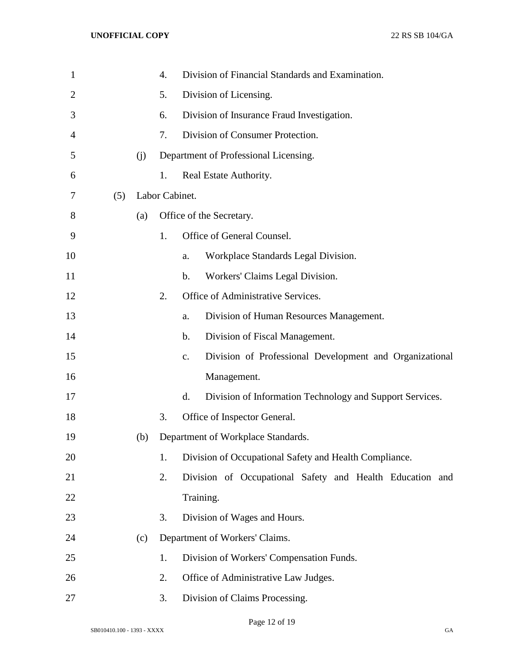| $\mathbf{1}$   |     |     | 4.             |                | Division of Financial Standards and Examination.         |  |  |  |  |  |
|----------------|-----|-----|----------------|----------------|----------------------------------------------------------|--|--|--|--|--|
| $\overline{2}$ |     |     | 5.             |                | Division of Licensing.                                   |  |  |  |  |  |
| 3              |     |     | 6.             |                | Division of Insurance Fraud Investigation.               |  |  |  |  |  |
| 4              |     |     | 7.             |                | Division of Consumer Protection.                         |  |  |  |  |  |
| 5              |     | (j) |                |                | Department of Professional Licensing.                    |  |  |  |  |  |
| 6              |     |     | 1.             |                | Real Estate Authority.                                   |  |  |  |  |  |
| 7              | (5) |     | Labor Cabinet. |                |                                                          |  |  |  |  |  |
| 8              |     | (a) |                |                | Office of the Secretary.                                 |  |  |  |  |  |
| 9              |     |     | 1.             |                | Office of General Counsel.                               |  |  |  |  |  |
| 10             |     |     |                | a.             | Workplace Standards Legal Division.                      |  |  |  |  |  |
| 11             |     |     |                | $\mathbf b$ .  | Workers' Claims Legal Division.                          |  |  |  |  |  |
| 12             |     |     | 2.             |                | Office of Administrative Services.                       |  |  |  |  |  |
| 13             |     |     |                | a.             | Division of Human Resources Management.                  |  |  |  |  |  |
| 14             |     |     |                | $\mathbf b$ .  | Division of Fiscal Management.                           |  |  |  |  |  |
| 15             |     |     |                | $\mathbf{c}$ . | Division of Professional Development and Organizational  |  |  |  |  |  |
| 16             |     |     |                |                | Management.                                              |  |  |  |  |  |
| 17             |     |     |                | d.             | Division of Information Technology and Support Services. |  |  |  |  |  |
| 18             |     |     | 3.             |                | Office of Inspector General.                             |  |  |  |  |  |
| 19             |     | (b) |                |                | Department of Workplace Standards.                       |  |  |  |  |  |
| 20             |     |     | 1.             |                | Division of Occupational Safety and Health Compliance.   |  |  |  |  |  |
| 21             |     |     | 2.             |                | Division of Occupational Safety and Health Education and |  |  |  |  |  |
| 22             |     |     |                |                | Training.                                                |  |  |  |  |  |
| 23             |     |     | 3.             |                | Division of Wages and Hours.                             |  |  |  |  |  |
| 24             |     | (c) |                |                | Department of Workers' Claims.                           |  |  |  |  |  |
| 25             |     |     | 1.             |                | Division of Workers' Compensation Funds.                 |  |  |  |  |  |
| 26             |     |     | 2.             |                | Office of Administrative Law Judges.                     |  |  |  |  |  |
| 27             |     |     | 3.             |                | Division of Claims Processing.                           |  |  |  |  |  |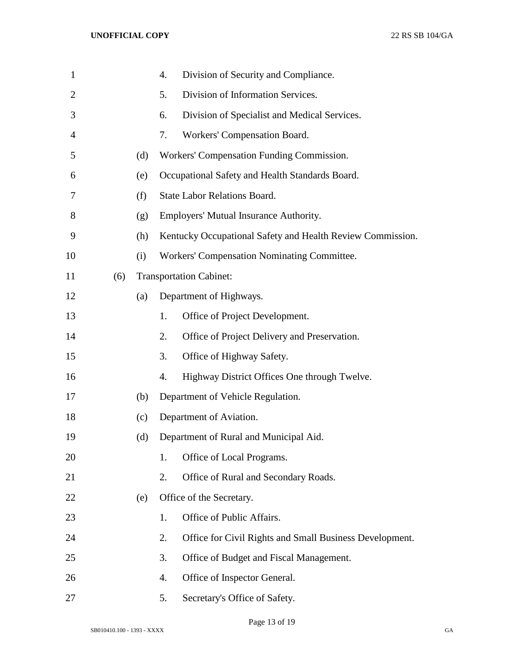| $\mathbf{1}$   |     |     | 4. | Division of Security and Compliance.                       |  |  |
|----------------|-----|-----|----|------------------------------------------------------------|--|--|
| $\overline{2}$ |     |     | 5. | Division of Information Services.                          |  |  |
| 3              |     |     | 6. | Division of Specialist and Medical Services.               |  |  |
| 4              |     |     | 7. | Workers' Compensation Board.                               |  |  |
| 5              |     | (d) |    | Workers' Compensation Funding Commission.                  |  |  |
| 6              |     | (e) |    | Occupational Safety and Health Standards Board.            |  |  |
| 7              |     | (f) |    | <b>State Labor Relations Board.</b>                        |  |  |
| 8              |     | (g) |    | Employers' Mutual Insurance Authority.                     |  |  |
| 9              |     | (h) |    | Kentucky Occupational Safety and Health Review Commission. |  |  |
| 10             |     | (i) |    | <b>Workers' Compensation Nominating Committee.</b>         |  |  |
| 11             | (6) |     |    | <b>Transportation Cabinet:</b>                             |  |  |
| 12             |     | (a) |    | Department of Highways.                                    |  |  |
| 13             |     |     | 1. | Office of Project Development.                             |  |  |
| 14             |     |     | 2. | Office of Project Delivery and Preservation.               |  |  |
| 15             |     |     | 3. | Office of Highway Safety.                                  |  |  |
| 16             |     |     | 4. | Highway District Offices One through Twelve.               |  |  |
| 17             |     | (b) |    | Department of Vehicle Regulation.                          |  |  |
| 18             |     | (c) |    | Department of Aviation.                                    |  |  |
| 19             |     | (d) |    | Department of Rural and Municipal Aid.                     |  |  |
| 20             |     |     | 1. | Office of Local Programs.                                  |  |  |
| 21             |     |     | 2. | Office of Rural and Secondary Roads.                       |  |  |
| 22             |     | (e) |    | Office of the Secretary.                                   |  |  |
| 23             |     |     | 1. | Office of Public Affairs.                                  |  |  |
| 24             |     |     | 2. | Office for Civil Rights and Small Business Development.    |  |  |
| 25             |     |     | 3. | Office of Budget and Fiscal Management.                    |  |  |
| 26             |     |     | 4. | Office of Inspector General.                               |  |  |
| 27             |     |     | 5. | Secretary's Office of Safety.                              |  |  |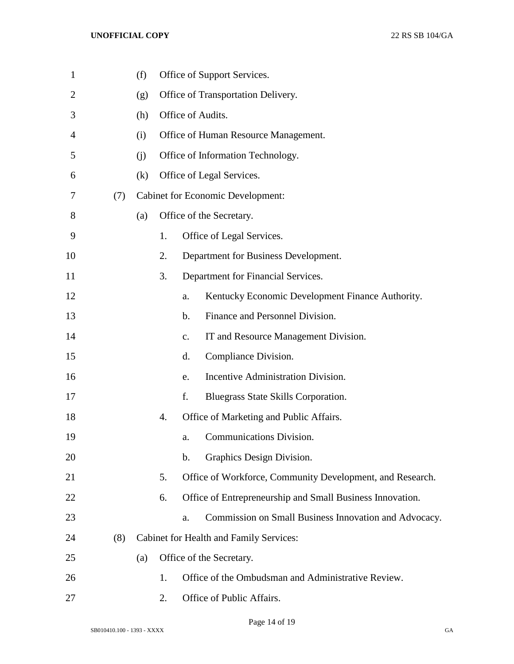| $\mathbf{1}$   |     | (f) |    |               | Office of Support Services.                               |
|----------------|-----|-----|----|---------------|-----------------------------------------------------------|
| $\overline{2}$ |     | (g) |    |               | Office of Transportation Delivery.                        |
| 3              |     | (h) |    |               | Office of Audits.                                         |
| 4              |     | (i) |    |               | Office of Human Resource Management.                      |
| 5              |     | (i) |    |               | Office of Information Technology.                         |
| 6              |     | (k) |    |               | Office of Legal Services.                                 |
| 7              | (7) |     |    |               | <b>Cabinet for Economic Development:</b>                  |
| 8              |     | (a) |    |               | Office of the Secretary.                                  |
| 9              |     |     | 1. |               | Office of Legal Services.                                 |
| 10             |     |     | 2. |               | Department for Business Development.                      |
| 11             |     |     | 3. |               | Department for Financial Services.                        |
| 12             |     |     |    | a.            | Kentucky Economic Development Finance Authority.          |
| 13             |     |     |    | $\mathbf b$ . | Finance and Personnel Division.                           |
| 14             |     |     |    | c.            | IT and Resource Management Division.                      |
| 15             |     |     |    | d.            | Compliance Division.                                      |
| 16             |     |     |    | e.            | Incentive Administration Division.                        |
| 17             |     |     |    | f.            | Bluegrass State Skills Corporation.                       |
| 18             |     |     | 4. |               | Office of Marketing and Public Affairs.                   |
| 19             |     |     |    | a.            | Communications Division.                                  |
| 20             |     |     |    | $\mathbf b$ . | Graphics Design Division.                                 |
| 21             |     |     | 5. |               | Office of Workforce, Community Development, and Research. |
| 22             |     |     | 6. |               | Office of Entrepreneurship and Small Business Innovation. |
| 23             |     |     |    | a.            | Commission on Small Business Innovation and Advocacy.     |
| 24             | (8) |     |    |               | Cabinet for Health and Family Services:                   |
| 25             |     | (a) |    |               | Office of the Secretary.                                  |
| 26             |     |     | 1. |               | Office of the Ombudsman and Administrative Review.        |
| 27             |     |     | 2. |               | Office of Public Affairs.                                 |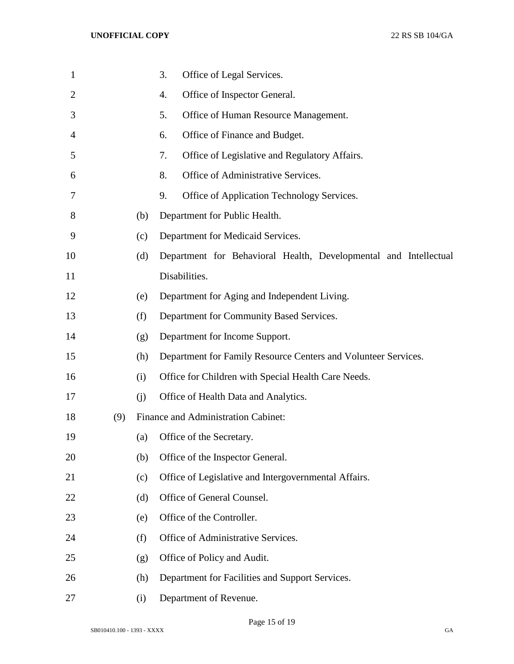| $\mathbf 1$    |     |     | Office of Legal Services.<br>3.                                  |
|----------------|-----|-----|------------------------------------------------------------------|
| $\overline{2}$ |     |     | Office of Inspector General.<br>4.                               |
| 3              |     |     | 5.<br>Office of Human Resource Management.                       |
| $\overline{4}$ |     |     | Office of Finance and Budget.<br>6.                              |
| 5              |     |     | Office of Legislative and Regulatory Affairs.<br>7.              |
| 6              |     |     | 8.<br>Office of Administrative Services.                         |
| 7              |     |     | 9.<br>Office of Application Technology Services.                 |
| 8              |     | (b) | Department for Public Health.                                    |
| 9              |     | (c) | Department for Medicaid Services.                                |
| 10             |     | (d) | Department for Behavioral Health, Developmental and Intellectual |
| 11             |     |     | Disabilities.                                                    |
| 12             |     | (e) | Department for Aging and Independent Living.                     |
| 13             |     | (f) | Department for Community Based Services.                         |
| 14             |     | (g) | Department for Income Support.                                   |
| 15             |     | (h) | Department for Family Resource Centers and Volunteer Services.   |
| 16             |     | (i) | Office for Children with Special Health Care Needs.              |
| 17             |     | (j) | Office of Health Data and Analytics.                             |
| 18             | (9) |     | Finance and Administration Cabinet:                              |
| 19             |     | (a) | Office of the Secretary.                                         |
| 20             |     | (b) | Office of the Inspector General.                                 |
| 21             |     | (c) | Office of Legislative and Intergovernmental Affairs.             |
| 22             |     | (d) | Office of General Counsel.                                       |
| 23             |     | (e) | Office of the Controller.                                        |
| 24             |     | (f) | Office of Administrative Services.                               |
| 25             |     | (g) | Office of Policy and Audit.                                      |
| 26             |     | (h) | Department for Facilities and Support Services.                  |
| 27             |     | (i) | Department of Revenue.                                           |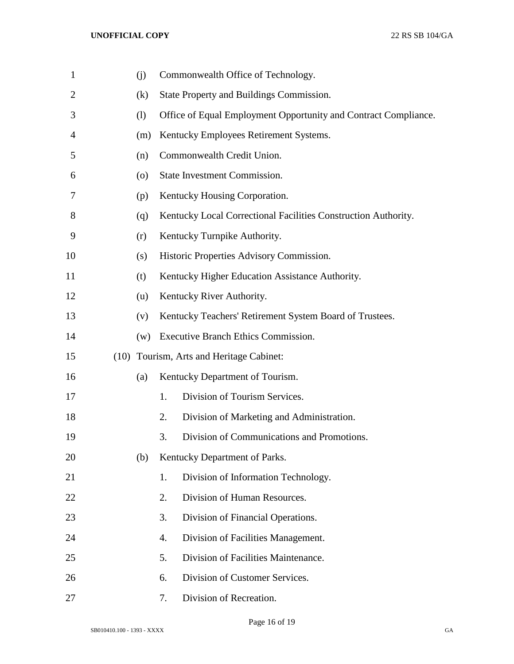| $\mathbf 1$    | (j)                | Commonwealth Office of Technology.                              |
|----------------|--------------------|-----------------------------------------------------------------|
| $\mathbf{2}$   | (k)                | State Property and Buildings Commission.                        |
| 3              | (1)                | Office of Equal Employment Opportunity and Contract Compliance. |
| $\overline{4}$ | (m)                | Kentucky Employees Retirement Systems.                          |
| 5              | (n)                | Commonwealth Credit Union.                                      |
| 6              | $\left( 0 \right)$ | State Investment Commission.                                    |
| 7              | (p)                | Kentucky Housing Corporation.                                   |
| 8              | (q)                | Kentucky Local Correctional Facilities Construction Authority.  |
| 9              | (r)                | Kentucky Turnpike Authority.                                    |
| 10             | (s)                | Historic Properties Advisory Commission.                        |
| 11             | (t)                | Kentucky Higher Education Assistance Authority.                 |
| 12             | (u)                | Kentucky River Authority.                                       |
| 13             | (v)                | Kentucky Teachers' Retirement System Board of Trustees.         |
| 14             | (w)                | Executive Branch Ethics Commission.                             |
| 15             |                    | (10) Tourism, Arts and Heritage Cabinet:                        |
| 16             | (a)                | Kentucky Department of Tourism.                                 |
| 17             |                    | Division of Tourism Services.<br>1.                             |
| 18             |                    | 2.<br>Division of Marketing and Administration.                 |
| 19             |                    | Division of Communications and Promotions.<br>3.                |
| 20             | (b)                | Kentucky Department of Parks.                                   |
| 21             |                    | Division of Information Technology.<br>1.                       |
| 22             |                    | Division of Human Resources.<br>2.                              |
| 23             |                    | 3.<br>Division of Financial Operations.                         |
| 24             |                    | 4.<br>Division of Facilities Management.                        |
| 25             |                    | Division of Facilities Maintenance.<br>5.                       |
| 26             |                    | Division of Customer Services.<br>6.                            |
| 27             |                    | Division of Recreation.<br>7.                                   |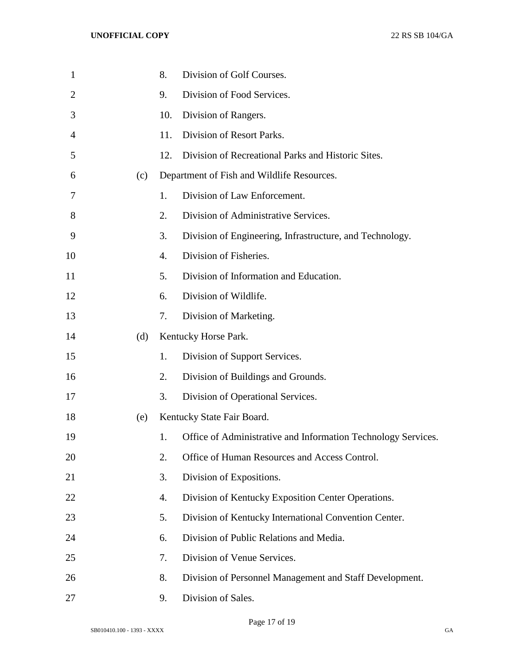| $\mathbf{1}$ |     | 8.  | Division of Golf Courses.                                     |
|--------------|-----|-----|---------------------------------------------------------------|
| 2            |     | 9.  | Division of Food Services.                                    |
| 3            |     | 10. | Division of Rangers.                                          |
| 4            |     | 11. | Division of Resort Parks.                                     |
| 5            |     | 12. | Division of Recreational Parks and Historic Sites.            |
| 6            | (c) |     | Department of Fish and Wildlife Resources.                    |
| 7            |     | 1.  | Division of Law Enforcement.                                  |
| 8            |     | 2.  | Division of Administrative Services.                          |
| 9            |     | 3.  | Division of Engineering, Infrastructure, and Technology.      |
| 10           |     | 4.  | Division of Fisheries.                                        |
| 11           |     | 5.  | Division of Information and Education.                        |
| 12           |     | 6.  | Division of Wildlife.                                         |
| 13           |     | 7.  | Division of Marketing.                                        |
| 14           | (d) |     | Kentucky Horse Park.                                          |
| 15           |     | 1.  | Division of Support Services.                                 |
| 16           |     | 2.  | Division of Buildings and Grounds.                            |
| 17           |     | 3.  | Division of Operational Services.                             |
| 18           | (e) |     | Kentucky State Fair Board.                                    |
| 19           |     | 1.  | Office of Administrative and Information Technology Services. |
| 20           |     | 2.  | Office of Human Resources and Access Control.                 |
| 21           |     | 3.  | Division of Expositions.                                      |
| 22           |     | 4.  | Division of Kentucky Exposition Center Operations.            |
| 23           |     | 5.  | Division of Kentucky International Convention Center.         |
| 24           |     | 6.  | Division of Public Relations and Media.                       |
| 25           |     | 7.  | Division of Venue Services.                                   |
| 26           |     | 8.  | Division of Personnel Management and Staff Development.       |
| 27           |     | 9.  | Division of Sales.                                            |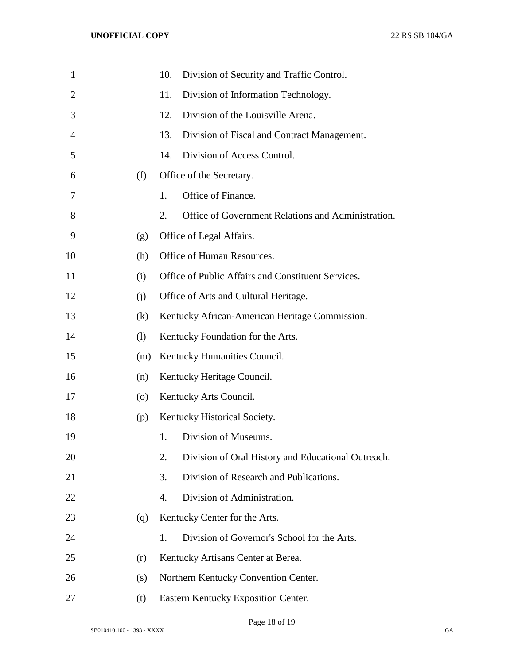| $\mathbf{1}$ |     | 10.<br>Division of Security and Traffic Control.         |
|--------------|-----|----------------------------------------------------------|
| 2            |     | 11.<br>Division of Information Technology.               |
| 3            |     | Division of the Louisville Arena.<br>12.                 |
| 4            |     | 13.<br>Division of Fiscal and Contract Management.       |
| 5            |     | Division of Access Control.<br>14.                       |
| 6            | (f) | Office of the Secretary.                                 |
| 7            |     | Office of Finance.<br>1.                                 |
| 8            |     | Office of Government Relations and Administration.<br>2. |
| 9            | (g) | Office of Legal Affairs.                                 |
| 10           | (h) | Office of Human Resources.                               |
| 11           | (i) | Office of Public Affairs and Constituent Services.       |
| 12           | (i) | Office of Arts and Cultural Heritage.                    |
| 13           | (k) | Kentucky African-American Heritage Commission.           |
| 14           | (1) | Kentucky Foundation for the Arts.                        |
| 15           | (m) | Kentucky Humanities Council.                             |
| 16           | (n) | Kentucky Heritage Council.                               |
| 17           | (0) | Kentucky Arts Council.                                   |
| 18           | (p) | Kentucky Historical Society.                             |
| 19           |     | Division of Museums.<br>1.                               |
| 20           |     | Division of Oral History and Educational Outreach.<br>2. |
| 21           |     | Division of Research and Publications.<br>3.             |
| 22           |     | Division of Administration.<br>4.                        |
| 23           | (q) | Kentucky Center for the Arts.                            |
| 24           |     | Division of Governor's School for the Arts.<br>1.        |
| 25           | (r) | Kentucky Artisans Center at Berea.                       |
| 26           | (s) | Northern Kentucky Convention Center.                     |
| 27           | (t) | Eastern Kentucky Exposition Center.                      |